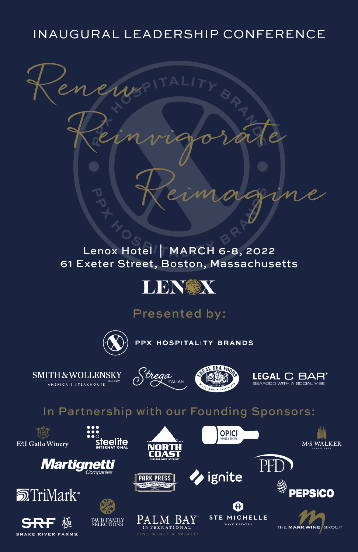# INAUGURAL LEADERSHIP CONFERENCE



### [Lenox Hotel](https://www.lenoxhotel.com/) | MARCH 6-8, 2022 61 Exeter Street, Boston, Massachusetts



Presented by:



teelite

PPX HOSPITALITY BRANDS

SMITH & WOLLENSKY AMERICA'S STEAKHOUSE







## In Partnership with our Founding Sponsors:

**E**&J. Gallo Winery











INTERNATIONAL

 $SPIRITS$ 

**PARK PRESS** 



ignite